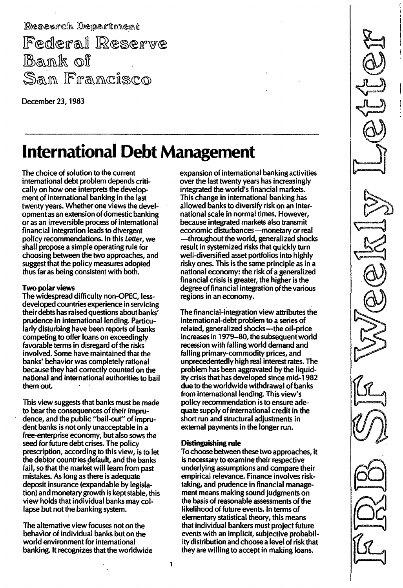Research Departnient Federal Reserve Bank of San Francisco

December 23, 1983

\_. \_-\_. \_-\_. \_--

# **International Debt Management**

The choice of solution to the current international debt problem depends critically on how one interprets the development of international banking in the last twenty years. Whether one views the developmentas an extension of domestic banking or as an irreversible process of international financial integration leads to divergent policy recommendations. In this Letter, we shall propose a simple operating rule for choosing between the two approaches, and suggest that the policy measures adopted thus far as being consistent with both.

## Two polar views

The widespread difficulty non-OPEC, lessdeveloped countries experience in servicing their debts has raised questions about banks' prudence in international lending. Particularly disturbing have been reports of banks competing to offer loans on exceedingly favorable terms in disregard of the risks involved. Some have maintained that the banks' behavior was completely rational because they had correctly counted on the national and international authorities to bail them out.

This view suggests that banks must be made to bear the consequences of their imprudence, and the public "bail-out" of imprudent banks is not only unacceptable in a free-enterprise economy, but also sows the seed for future debt crises. The policy prescription, according to this view, is to let the debtor countries default, and the banks fail, so that the market will learn from past mistakes. As long as there is adequate deposit insurance (expandable by legislation) and monetary growth is kept stable, this view holds that individual banks may collapse but not the banking system.

The alternative view focuses not on the behavior of individual banks but on the world environment for international banking. It recognizes that the worldwide expansion of international banking activities over the last twenty years has increasingly integrated the world's financial markets. This change in international banking has allowed banks to diversify risk on an international scale in normal times. However, because integrated markets also transmit economic disturbances-monetary or real -throughout the world, generalized shocks result in systemized risks that quickly turn well-diversified asset portfolios into highly risky ones. This is the same principle as in a national economy: the risk of a generalized financial crisis is greater, the higher is the degree of financial integration of the various regions in an economy.

The financial-integration view attributes the international-debt problem to a series of related, generalized shocks-the oil-price increases in 1979-80, the subsequent world recession with falling world demand and falling primary-commodity prices, and unprecedentedly high real interest rates. The problem has been aggravated by the liquidity crisis that has developed since mid-1 982 due to the worldwide withdrawal of banks from international lending. This view's policy recommendation is to ensure adequate supply of international credit in the short run and structural adjustments in external payments in the longer run.

### Distinguishing rule

To choose between these two approaches, it is necessary to examine their respective underlying assumptions and compare their empirical relevance. Finance involves risktaking, and prudence in financial management means making sound judgments on the basisof reasonable assessments of the likelihood of future events. In terms of elementary statistical theory, this means that individual bankers must project future events with an implicit, subjective probability distribution and choose a level of risk that they are willing to accept in making loans.

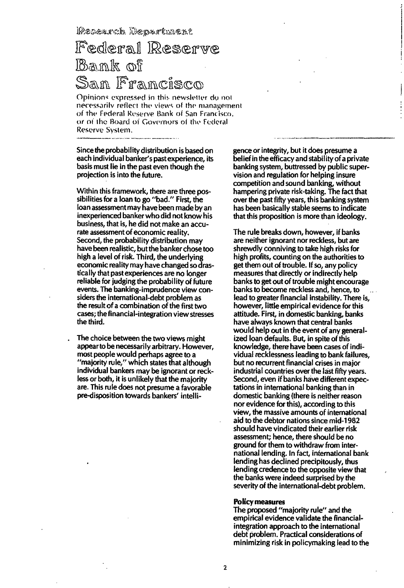**IPesearch Department** 

# Federal Reserve Bank of San Francisco

Opinions expressed in this newsletter do not necessarily reflect the views of the management of the Federal Reserve Bank of San Francisco, or of the Board of Governors of the Federal Reserve System.

Since the probability distribution is based on each individual banker's past experience, its basis must lie in the past even though the projection is into the future.

Within this framework, there are three possibilities for a loan to go "bad." First, the loan assessment may have been made by an inexperienced banker who did not know his business, that is, he did not make an accurate assessment of economic reality. Second, the probability distribution may have been realistic, but the banker chose too high a level of risk. Third, the underlying economic reality may have changed sodrastically that past experiences are no longer reliable for judging the probability of future events. The banking-imprudence view considers the international-debt problem as the result of a combination of the first two cases; the financial-integration view stresses the third.

The choice between the two views might appear to be necessarily arbitrary. However, most people would perhaps agree to a "majority rule," which states that although individual bankers may be ignorant or reckless or both, it is unlikely that the majority are. This rule does not presume a favorable pre-disposition towards bankers' intelligence or integrity, but it does presume a belief in the efficacy and stabil ity of a private banking system, buttressed by public supervision and regulation for helping insure competition and sound banking, without hampering private risk-taking. The fact that over the past fifty years, this banking system has been basically stable seems to indicate that this proposition is more than ideology.

The rule breaks down, however, if banks are neither ignorant nor reckless, but are shrewdly conniving to take high risks for high profits, counting on the authorities to get them out of trouble. If so, any policy measures that directly or indirectly help banks to get out of trouble might encourage banks to become reckless and, hence, to lead to greater financial instability. There is, however, little empirical evidence for this attitude. First, in domestic banking, banks have always known that central banks would help out in the event of any generalized loan defaults. But, in spite of this knowledge, there have been cases of individual recklessness leading to bank failures, but no recurrent financial crises in major industrial countries over the last fifty years. Second, even if banks have different expectations in international banking than in domestic banking (there is neither reason nor evidence for this), according to this view, the massive amounts of international aid to the debtor nations since mid-1 982 should have vindicated their earlier risk assessment; hence, there should be no ground for them to withdraw from international lending. In fact, international bank lending has declined precipitously, thus lending credence to the opposite view that the banks were indeed surprised by the severity of the international-debt problem.

#### Policy measures

The proposed "majority rule" and the empirical evidence validate the financialintegration approach to the international debt problem. Practical considerations of minimizing risk in policymaking lead to the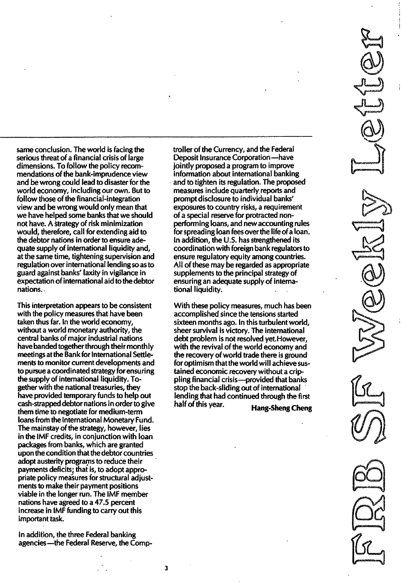same conclusion. The world is facing the serious threat of a financial crisis of large dimensions. To follow the policy recommendations of the bank-imprudence view and be wrong could lead to disaster for the world economy, including our own. But to follow those of the financial-integration view and be wrong would only mean that we have helped some banks that we should not have. A strategy of risk minimization would, therefore, call for extending aid to the debtor nations in order to ensure adequate supply of international liquidity and, at the same time, tightening supervision and regulation over international lending so as to guard against banks' laxity in vigilance in expectation of international aid to the debtor nations.

This interpretation appears to be consistent with the policy measures that have been taken thus far. In the world economy, without a world monetary authority, the central banks of major industrial nations have banded together through their monthly meetings atthe Bank for International Settlements to monitor current developments and to pursue a coordinated strategy forensuring the supply of international liquidity. Together with the national treasuries, they have provided temporary funds to help out cash-strapped debtor nations in order to give them time to negotiate for medium-term loansfrom the International Monetary Fund. The mainstay of the strategy, however, lies in the IMF credits, in conjunction with loan packages from banks, which are granted upon the condition that the debtor countries adopt austerity programs to reduce their payments deficits; that is, to adopt appropriate policy measures for structural adjustments to make their payment positions viable in the longer run. The IMF member nations have agreed to a 47.5 percent increase in IMF funding to carry out this important task.

In addition, the three Federal banking agencies---the Federal Reserve, the Comptroller of the Currency, and the Federal Deposit Insurance Corporation-have jointly proposed a program to improve information about international banking and to tighten its regulation. The proposed measures include quarterly reports and prompt disclosure to individual banks' exposures to country risks, a requirement of a special reserve for protracted nonperforming loans, and new accounting rules for spreading loan fees over the life of a loan. In addition, the U.S. has strengthened its coordination with foreign bank regulators to ensure regulatory equity among countries. All of these may be regarded as appropriate supplements to the principal strategy of ensuring an adequate supply of international liquidity.

With these policy measures, much has been accomplished since the tensions started sixteen months ago. In this turbulent world, sheer survival is victory. The international debt problem is not resolved yet. However, with the revival of the world economy and the recovery of world trade there is ground for optimism that the world will achieve sustained economic recovery without a crippling financial crisis-provided that banks stop the back-sliding out of international lending that had continued through the first half of this year.<br>
Hang-Sheng Cheng

\"!'  $\beta$  -  $\beta$  ,  $\beta$